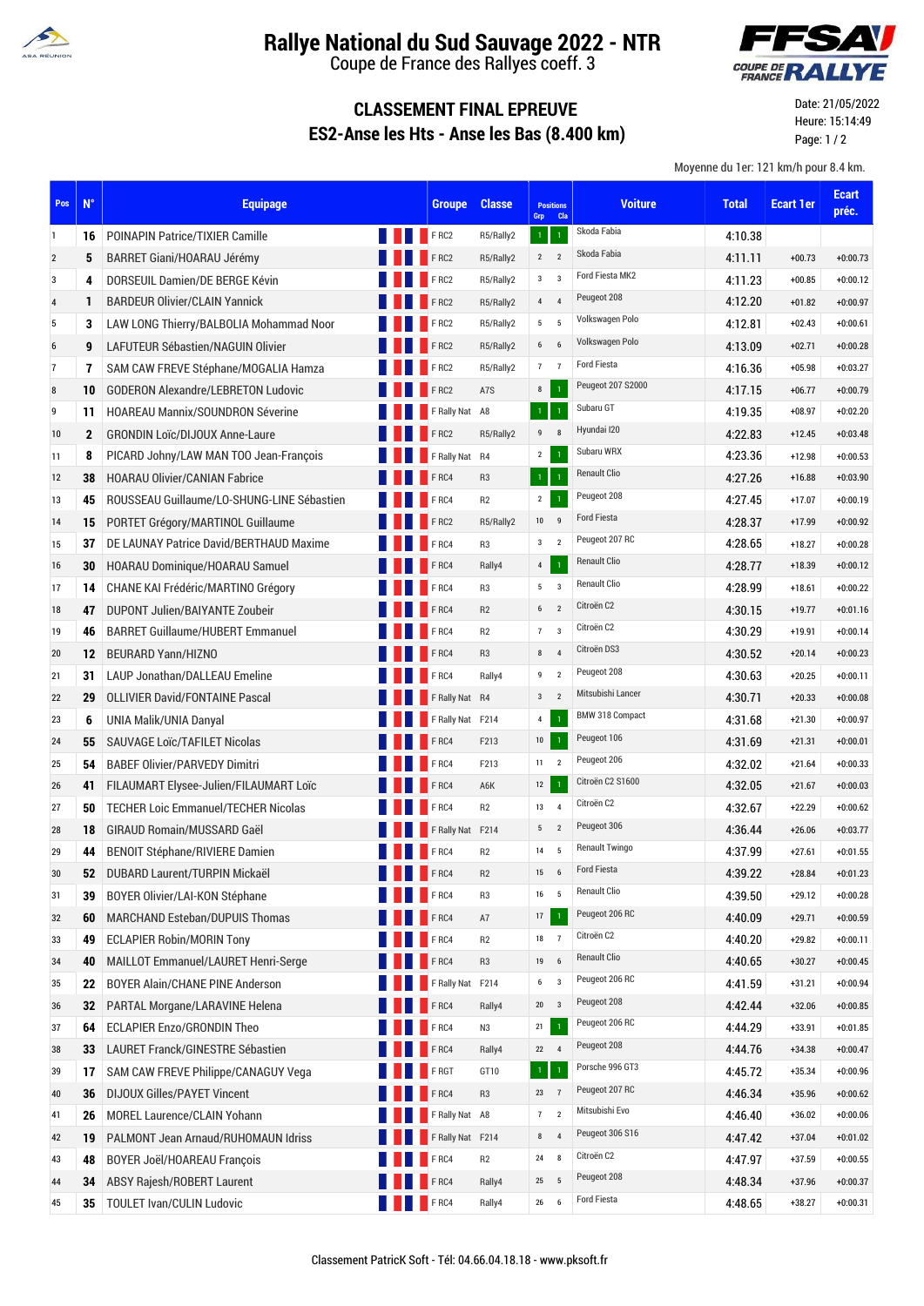

## **Rallye National du Sud Sauvage 2022 - NTR**

Coupe de France des Rallyes coeff. 3



## **CLASSEMENT FINAL EPREUVE ES2-Anse les Hts - Anse les Bas (8.400 km)**

Date: 21/05/2022 Heure: 15:14:49 Page: 1 / 2

Moyenne du 1er: 121 km/h pour 8.4 km.

| Pos            | $N^{\circ}$  | <b>Equipage</b>                            |                     | <b>Groupe</b>    | <b>Classe</b>  | <b>Positions</b><br>Grp | Cla                     | <b>Voiture</b>         | <b>Total</b> | <b>Ecart 1er</b> | <b>Ecart</b><br>préc. |
|----------------|--------------|--------------------------------------------|---------------------|------------------|----------------|-------------------------|-------------------------|------------------------|--------------|------------------|-----------------------|
| 1              | 16           | <b>POINAPIN Patrice/TIXIER Camille</b>     |                     | FRC2             | R5/Rally2      | $\mathbf{1}$            | $\mathbf{1}$            | Skoda Fabia            | 4:10.38      |                  |                       |
| $\overline{2}$ | 5            | BARRET Giani/HOARAU Jérémy                 |                     | <b>FRC2</b>      | R5/Rally2      | $2^{\circ}$             | $\overline{2}$          | Skoda Fabia            | 4:11.11      | $+00.73$         | $+0:00.73$            |
| 3              | 4            | DORSEUIL Damien/DE BERGE Kévin             |                     | FRC2             | R5/Rally2      | $3^{\circ}$ 3           |                         | Ford Fiesta MK2        | 4:11.23      | $+00.85$         | $+0:00.12$            |
| $\sqrt{4}$     | 1            | <b>BARDEUR Olivier/CLAIN Yannick</b>       |                     | FRC2             | R5/Rally2      | $4\quad 4$              |                         | Peugeot 208            | 4:12.20      | $+01.82$         | $+0:00.97$            |
| 5              | 3            | LAW LONG Thierry/BALBOLIA Mohammad Noor    |                     | FRC2             | R5/Rally2      | $5 \qquad 5$            |                         | Volkswagen Polo        | 4:12.81      | $+02.43$         | $+0:00.61$            |
| 6              | 9            | LAFUTEUR Sébastien/NAGUIN Olivier          |                     | FRC2             | R5/Rally2      | $6 \qquad 6$            |                         | Volkswagen Polo        | 4:13.09      | $+02.71$         | $+0:00.28$            |
| $\overline{7}$ | 7            | SAM CAW FREVE Stéphane/MOGALIA Hamza       |                     | FRC2             | R5/Rally2      | 7 <sub>7</sub>          |                         | <b>Ford Fiesta</b>     | 4:16.36      | $+05.98$         | $+0:03.27$            |
| 8              | 10           | <b>GODERON Alexandre/LEBRETON Ludovic</b>  |                     | FRC2             | A7S            | 8                       | $\overline{1}$          | Peugeot 207 S2000      | 4:17.15      | $+06.77$         | $+0:00.79$            |
| 9              | 11           | <b>HOAREAU Mannix/SOUNDRON Séverine</b>    |                     | F Rally Nat A8   |                | $\mathbf{1}$            | $\mathbf{1}$            | Subaru GT              | 4:19.35      | $+08.97$         | $+0:02.20$            |
| 10             | $\mathbf{2}$ | <b>GRONDIN Loïc/DIJOUX Anne-Laure</b>      |                     | FRC2             | R5/Rally2      | 9                       | 8                       | Hyundai I20            | 4:22.83      | $+12.45$         | $+0:03.48$            |
| 11             | 8            | PICARD Johny/LAW MAN TOO Jean-François     |                     | F Rally Nat R4   |                | $\overline{2}$          | $\mathbf 1$             | Subaru WRX             | 4:23.36      | $+12.98$         | $+0:00.53$            |
| 12             | 38           | <b>HOARAU Olivier/CANIAN Fabrice</b>       |                     | <b>FRC4</b>      | R <sub>3</sub> | $\mathbf{1}$            | $\overline{1}$          | <b>Renault Clio</b>    | 4:27.26      | $+16.88$         | $+0:03.90$            |
| 13             | 45           | ROUSSEAU Guillaume/LO-SHUNG-LINE Sébastien |                     | <b>FRC4</b>      | R2             | $\overline{2}$          | $\mathbf 1$             | Peugeot 208            | 4:27.45      | $+17.07$         | $+0:00.19$            |
| 14             | 15           | PORTET Grégory/MARTINOL Guillaume          |                     | FRC2             | R5/Rally2      | $10 \qquad 9$           |                         | <b>Ford Fiesta</b>     | 4:28.37      | +17.99           | $+0:00.92$            |
| 15             | 37           | DE LAUNAY Patrice David/BERTHAUD Maxime    |                     | F <sub>RC4</sub> | R <sub>3</sub> | $\mathbf{3}$            | $\overline{2}$          | Peugeot 207 RC         | 4:28.65      | $+18.27$         | $+0:00.28$            |
| 16             | 30           | HOARAU Dominique/HOARAU Samuel             |                     | <b>FRC4</b>      | Rally4         | 4                       | $\mathbf 1$             | <b>Renault Clio</b>    | 4:28.77      | $+18.39$         | $+0:00.12$            |
| 17             | 14           | CHANE KAI Frédéric/MARTINO Grégory         |                     | <b>FRC4</b>      | R <sub>3</sub> | $5 \qquad 3$            |                         | Renault Clio           | 4:28.99      | $+18.61$         | $+0:00.22$            |
| 18             | 47           | <b>DUPONT Julien/BAIYANTE Zoubeir</b>      |                     | F <sub>RC4</sub> | R2             | $6\qquad2$              |                         | Citroën C2             | 4:30.15      | $+19.77$         | $+0:01.16$            |
| 19             | 46           | <b>BARRET Guillaume/HUBERT Emmanuel</b>    |                     | F <sub>RC4</sub> | R2             | 7                       | $\overline{3}$          | Citroën C2             | 4:30.29      | $+19.91$         | $+0:00.14$            |
| 20             | 12           | <b>BEURARD Yann/HIZNO</b>                  |                     | FRC4             | R <sub>3</sub> | 8                       | $\overline{4}$          | Citroën DS3            | 4:30.52      | $+20.14$         | $+0:00.23$            |
| 21             | 31           | <b>LAUP Jonathan/DALLEAU Emeline</b>       |                     | F <sub>RC4</sub> | Rally4         | 9                       | $\overline{2}$          | Peugeot 208            | 4:30.63      | $+20.25$         | $+0:00.11$            |
| 22             | 29           | <b>OLLIVIER David/FONTAINE Pascal</b>      |                     | F Rally Nat R4   |                | $3\qquad2$              |                         | Mitsubishi Lancer      | 4:30.71      | $+20.33$         | $+0:00.08$            |
| 23             | 6            | UNIA Malik/UNIA Danyal                     |                     | F Rally Nat F214 |                | 4                       | $\mathbf 1$             | <b>BMW 318 Compact</b> | 4.31.68      | $+21.30$         | $+0:00.97$            |
| 24             | 55           | <b>SAUVAGE LOIC/TAFILET Nicolas</b>        |                     | FRC4             | F213           | $10\,$                  | $\mathbf 1$             | Peugeot 106            | 4:31.69      | $+21.31$         | $+0:00.01$            |
| 25             | 54           | <b>BABEF Olivier/PARVEDY Dimitri</b>       |                     | FRC4             | F213           | $11$ 2                  |                         | Peugeot 206            | 4:32.02      | $+21.64$         | $+0:00.33$            |
| 26             | 41           | FILAUMART Elysee-Julien/FILAUMART Loïc     |                     | FRC4             | A6K            | 12                      | $\mathbf{1}$            | Citroën C2 S1600       | 4:32.05      | $+21.67$         | $+0:00.03$            |
| 27             | 50           | <b>TECHER Loic Emmanuel/TECHER Nicolas</b> |                     | F <sub>RC4</sub> | R2             | 13 4                    |                         | Citroën C2             | 4:32.67      | $+22.29$         | $+0:00.62$            |
| 28             | 18           | <b>GIRAUD Romain/MUSSARD Gaël</b>          |                     | F Rally Nat F214 |                | $5\phantom{.0}$         | $\overline{2}$          | Peugeot 306            | 4.36.44      | $+26.06$         | $+0:03.77$            |
| 29             | 44           | <b>BENOIT Stéphane/RIVIERE Damien</b>      |                     | FRC4             | R2             | 14                      | 5                       | <b>Renault Twingo</b>  | 4:37.99      | $+27.61$         | $+0:01.55$            |
| 30             | 52           | DUBARD Laurent/TURPIN Mickaël              | <b>FRC4</b>         |                  | R <sub>2</sub> | 15                      | 6                       | Ford Fiesta            | 4.39.22      | $+28.84$         | $+0:01.23$            |
| 31             | 39           | BOYER Olivier/LAI-KON Stéphane             | <b>FRC4</b>         |                  | R <sub>3</sub> | 16                      | 5                       | Renault Clio           | 4:39.50      | $+29.12$         | $+0:00.28$            |
| 32             | 60           | MARCHAND Esteban/DUPUIS Thomas             |                     | FRC4             | A7             | $17\,$                  | $\mathbf 1$             | Peugeot 206 RC         | 4:40.09      | $+29.71$         | $+0:00.59$            |
| 33             | 49           | <b>ECLAPIER Robin/MORIN Tony</b>           |                     | FRC4             | R <sub>2</sub> | $18\,$                  | $\overline{7}$          | Citroën C2             | 4:40.20      | $+29.82$         | $+0:00.11$            |
| 34             | 40           | MAILLOT Emmanuel/LAURET Henri-Serge        |                     | FRC4             | R <sub>3</sub> | 19                      | $6\phantom{1}$          | Renault Clio           | 4:40.65      | $+30.27$         | $+0:00.45$            |
| 35             | 22           | <b>BOYER Alain/CHANE PINE Anderson</b>     |                     | F Rally Nat F214 |                | 6                       | $\overline{3}$          | Peugeot 206 RC         | 4:41.59      | $+31.21$         | $+0:00.94$            |
| 36             | 32           | PARTAL Morgane/LARAVINE Helena             |                     | FRC4             | Rally4         | $20\,$                  | $\overline{\mathbf{3}}$ | Peugeot 208            | 4:42.44      | $+32.06$         | $+0:00.85$            |
| 37             | 64           | <b>ECLAPIER Enzo/GRONDIN Theo</b>          |                     | FRC4             | N3             | 21                      | $\mathbf 1$             | Peugeot 206 RC         | 4:44.29      | $+33.91$         | $+0:01.85$            |
| 38             | 33           | LAURET Franck/GINESTRE Sébastien           |                     | FRC4             | Rally4         | 22                      | $\overline{4}$          | Peugeot 208            | 4:44.76      | $+34.38$         | $+0:00.47$            |
| 39             | 17           | SAM CAW FREVE Philippe/CANAGUY Vega        |                     | F RGT            | GT10           | $\,1\,$                 | $\,1\,$                 | Porsche 996 GT3        | 4:45.72      | $+35.34$         | $+0:00.96$            |
| 40             | 36           | <b>DIJOUX Gilles/PAYET Vincent</b>         |                     | FRC4             | R <sub>3</sub> | 23                      | $\overline{7}$          | Peugeot 207 RC         | 4:46.34      | $+35.96$         | $+0:00.62$            |
| 41             | 26           | <b>MOREL Laurence/CLAIN Yohann</b>         |                     | F Rally Nat A8   |                | $7\quad 2$              |                         | Mitsubishi Evo         | 4:46.40      | $+36.02$         | $+0:00.06$            |
| 42             | 19           | PALMONT Jean Arnaud/RUHOMAUN Idriss        |                     | F Rally Nat F214 |                | 8                       | $\overline{4}$          | Peugeot 306 S16        | 4:47.42      | $+37.04$         | $+0:01.02$            |
| 43             | 48           | <b>BOYER Joël/HOAREAU François</b>         |                     | FRC4             | R <sub>2</sub> | 24                      | 8                       | Citroën C2             | 4:47.97      | $+37.59$         | $+0:00.55$            |
| 44             | 34           | ABSY Rajesh/ROBERT Laurent                 |                     | FRC4             | Rally4         | 25                      | $5\phantom{.0}$         | Peugeot 208            | 4:48.34      | $+37.96$         | $+0:00.37$            |
| 45             | 35           | <b>TOULET Ivan/CULIN Ludovic</b>           | <b>EXAMPLE PRC4</b> |                  | Rally4         | 26                      | $6\phantom{1}6$         | <b>Ford Fiesta</b>     | 4:48.65      | $+38.27$         | $+0:00.31$            |